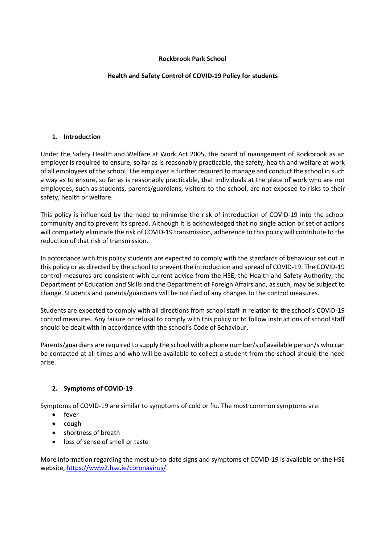# **Rockbrook Park School**

# **Health and Safety Control of COVID-19 Policy for students**

#### **1. Introduction**

Under the Safety Health and Welfare at Work Act 2005, the board of management of Rockbrook as an employer is required to ensure, so far as is reasonably practicable, the safety, health and welfare at work of all employees of the school. The employer is further required to manage and conduct the school in such a way as to ensure, so far as is reasonably practicable, that individuals at the place of work who are not employees, such as students, parents/guardians, visitors to the school, are not exposed to risks to their safety, health or welfare.

This policy is influenced by the need to minimise the risk of introduction of COVID-19 into the school community and to prevent its spread. Although it is acknowledged that no single action or set of actions will completely eliminate the risk of COVID-19 transmission, adherence to this policy will contribute to the reduction of that risk of transmission.

In accordance with this policy students are expected to comply with the standards of behaviour set out in this policy or as directed by the school to prevent the introduction and spread of COVID-19. The COVID-19 control measures are consistent with current advice from the HSE, the Health and Safety Authority, the Department of Education and Skills and the Department of Foreign Affairs and, as such, may be subject to change. Students and parents/guardians will be notified of any changes to the control measures.

Students are expected to comply with all directions from school staff in relation to the school's COVID-19 control measures. Any failure or refusal to comply with this policy or to follow instructions of school staff should be dealt with in accordance with the school's Code of Behaviour.

Parents/guardians are required to supply the school with a phone number/s of available person/s who can be contacted at all times and who will be available to collect a student from the school should the need arise.

# **2. Symptoms of COVID-19**

Symptoms of COVID-19 are similar to symptoms of cold or flu. The most common symptoms are:

- fever
- cough
- shortness of breath
- loss of sense of smell or taste

More information regarding the most up-to-date signs and symptoms of COVID-19 is available on the HSE website, https://www2.hse.ie/coronavirus/.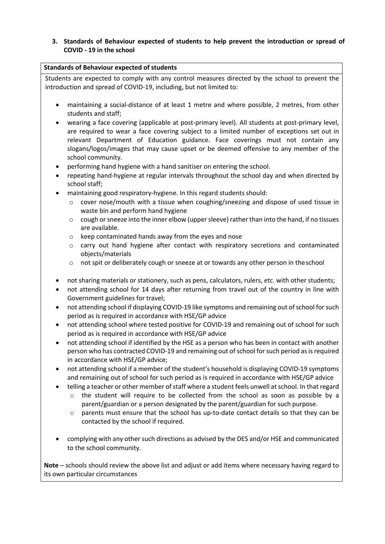# **3. Standards of Behaviour expected of students to help prevent the introduction or spread of COVID - 19 in the school**

| <b>Standards of Behaviour expected of students</b>                                                                                                            |
|---------------------------------------------------------------------------------------------------------------------------------------------------------------|
| Students are expected to comply with any control measures directed by the school to prevent the                                                               |
| introduction and spread of COVID-19, including, but not limited to:                                                                                           |
|                                                                                                                                                               |
| maintaining a social-distance of at least 1 metre and where possible, 2 metres, from other<br>٠                                                               |
| students and staff;                                                                                                                                           |
| wearing a face covering (applicable at post-primary level). All students at post-primary level,<br>٠                                                          |
| are required to wear a face covering subject to a limited number of exceptions set out in                                                                     |
| relevant Department of Education guidance. Face coverings must not contain any                                                                                |
| slogans/logos/images that may cause upset or be deemed offensive to any member of the                                                                         |
| school community.                                                                                                                                             |
| performing hand hygiene with a hand sanitiser on entering the school.<br>٠                                                                                    |
| repeating hand-hygiene at regular intervals throughout the school day and when directed by<br>$\bullet$                                                       |
| school staff;                                                                                                                                                 |
| maintaining good respiratory-hygiene. In this regard students should:<br>$\bullet$                                                                            |
| cover nose/mouth with a tissue when coughing/sneezing and dispose of used tissue in<br>$\circ$<br>waste bin and perform hand hygiene                          |
| cough or sneeze into the inner elbow (upper sleeve) rather than into the hand, if no tissues<br>$\circ$                                                       |
| are available.                                                                                                                                                |
| keep contaminated hands away from the eyes and nose<br>$\circ$                                                                                                |
| carry out hand hygiene after contact with respiratory secretions and contaminated<br>$\circ$                                                                  |
| objects/materials                                                                                                                                             |
| not spit or deliberately cough or sneeze at or towards any other person in the school<br>$\circ$                                                              |
|                                                                                                                                                               |
| not sharing materials or stationery, such as pens, calculators, rulers, etc. with other students;<br>٠                                                        |
| not attending school for 14 days after returning from travel out of the country in line with<br>٠                                                             |
| Government guidelines for travel;                                                                                                                             |
| not attending school if displaying COVID-19 like symptoms and remaining out of school for such<br>٠<br>period as is required in accordance with HSE/GP advice |
| not attending school where tested positive for COVID-19 and remaining out of school for such<br>٠                                                             |
| period as is required in accordance with HSE/GP advice                                                                                                        |
| not attending school if identified by the HSE as a person who has been in contact with another                                                                |
| person who has contracted COVID-19 and remaining out of school for such period as is required                                                                 |
| in accordance with HSE/GP advice;                                                                                                                             |
| not attending school if a member of the student's household is displaying COVID-19 symptoms                                                                   |
| and remaining out of school for such period as is required in accordance with HSE/GP advice                                                                   |
| telling a teacher or other member of staff where a student feels unwell at school. In that regard                                                             |
| the student will require to be collected from the school as soon as possible by a<br>$\circ$                                                                  |
| parent/guardian or a person designated by the parent/guardian for such purpose.                                                                               |
| parents must ensure that the school has up-to-date contact details so that they can be<br>$\circ$                                                             |
| contacted by the school if required.                                                                                                                          |
|                                                                                                                                                               |
| complying with any other such directions as advised by the DES and/or HSE and communicated                                                                    |
| to the school community.                                                                                                                                      |
|                                                                                                                                                               |

**Note** – schools should review the above list and adjust or add items where necessary having regard to its own particular circumstances